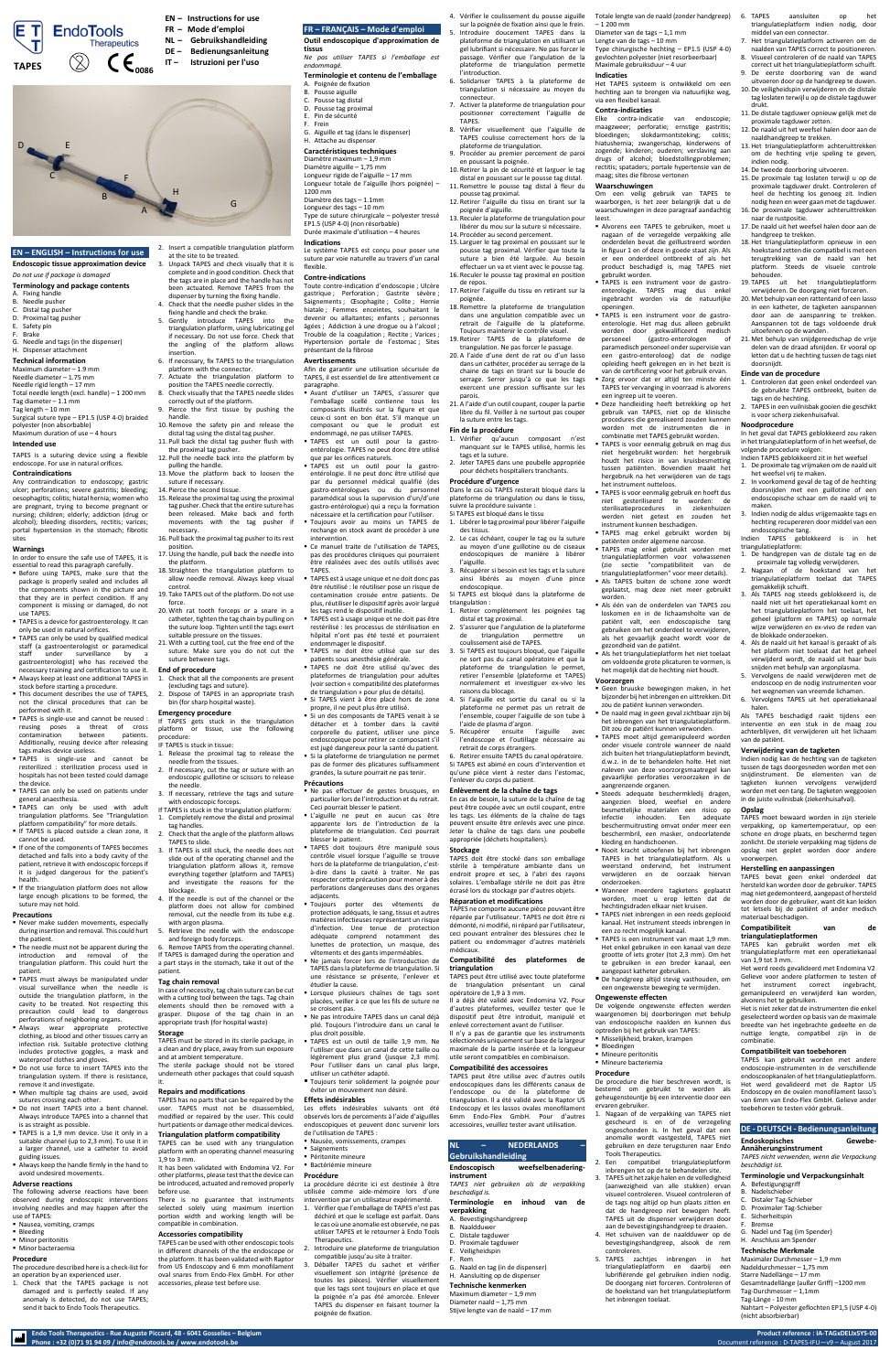**Endo Tools Therapeutics - Rue Auguste Piccard, 48 - 6041 Gosselies – Belgium Product reference : IA-TAGxDELIxSYS-00**

# **EN – ENGLISH – Instructions for use**

# **Endoscopic tissue approximation device**

# *Do not use if package is damaged*

# **Terminology and package contents**

A. Fixing handle B. Needle pusher

- C. Distal tag pusher
- D. Proximal tag pusher
- E. Safety pin
- F. Brake
- G. Needle and tags (in the dispenser) H. Dispenser attachment

### **Technical information**

- Maximum diameter 1.9 mm Needle diameter – 1.75 mm Needle rigid length – 17 mm
- Total needle length (excl. handle) 1 200 mm Tag diameter – 1.1 mm Tag length – 10 mm
- Surgical suture type EP1.5 (USP 4-0) braided
- polyester (non absorbable) Maximum duration of use – 4 hours

### **Intended use**

TAPES is a suturing device using a flexible endoscope. For use in natural orifices.

### **Contraindications**

Any contraindication to endoscopy; gastric ulcer; perforations; severe gastritis; bleeding; oesophagitis; colitis; hiatal hernia; women who are pregnant, trying to become pregnant or nursing; children; elderly; addiction (drug or alcohol); bleeding disorders, rectitis; varices; portal hypertension in the stomach; fibrotic sites

- Before using TAPES, make sure that the package is properly sealed and includes all the components shown in the picture and that they are in perfect condition. If any component is missing or damaged, do not use TAPES.
- **EXECT:** TAPES is a device for gastroenterology. It can only be used in natural orifices.
- **TAPES can only be used by qualified medical** staff (a gastroenterologist or paramedical staff under surveillance by a gastroenterologist) who has received the necessary training and certification to use it.
- Always keep at least one additional TAPES in stock before starting a procedure.
- This document describes the use of TAPES. not the clinical procedures that can be performed with it.
- TAPES is single-use and cannot be reused : reusing poses a threat of cross contamination between patients. Additionally, reusing device after releasing tags makes device useless.
- TAPES is single-use and cannot be resterilized : sterilization process used in hospitals has not been tested could damage the device.
- TAPES can only be used on patients under general anaesthesia.

# **Warnings**

In order to ensure the safe use of TAPES, it is essential to read this paragraph carefully.

- $\blacksquare$  TAPES can only be used with adult triangulation platforms. See "Triangulation platform compatibility" for more details.
- **.** If TAPES is placed outside a clean zone, it cannot be used.
- If one of the components of TAPES becomes detached and falls into a body cavity of the patient, retrieve it with endoscopic forceps if it is judged dangerous for the patient's health.
- **.** If the triangulation platform does not allow large enough plications to be formed, the suture may not hold.

- Never make sudden movements, especially during insertion and removal. This could hurt the patient.
- The needle must not be apparent during the introduction and removal of the triangulation platform. This could hurt the patient.
- **TAPES must always be manipulated under** visual surveillance when the needle is outside the triangulation platform, in the cavity to be treated. Not respecting this precaution could lead to dangerous perforations of neighboring organs.
- **Always** wear appropriate protective clothing, as blood and other tissues carry an infection risk. Suitable protective clothing includes protective goggles, a mask and waterproof clothes and gloves.
- Do not use force to insert TAPES into the triangulation system. If there is resistance, remove it and investigate.
- When multiple tag chains are used, avoid sutures crossing each other.
- Do not insert TAPES into a bent channel. Always introduce TAPES into a channel that is as straight as possible.
- TAPES is a 1,9 mm device. Use it only in a suitable channel (up to 2,3 mm). To use it in a larger channel, use a catheter to avoid guiding issues.
- Always keep the handle firmly in the hand to avoid undesired movements.

### **Precautions**

### **Adverse reactions**

The following adverse reactions have been observed during endoscopic interventions involving needles and may happen after the use of TAPES:

- Nausea, vomiting, cramps
- Bleeding
- Minor peritonitis
- Minor bacteraemia

### **Procedure**

The procedure described here is a check-list for an operation by an experienced user.

1. Check that the TAPES package is not damaged and is perfectly sealed. If any anomaly is detected, do not use TAPES; send it back to Endo Tools Therapeutics.

Phone : +32 (0)71 91 94 09 / info@endotools.be / www.endotools.be

- 2. Insert a compatible triangulation platform at the site to be treated.
- 3. Unpack TAPES and check visually that it is complete and in good condition. Check that the tags are in place and the handle has not been actuated. Remove TAPES from the dispenser by turning the fixing handle.
- 4. Check that the needle pusher slides in the
- fixing handle and check the brake. 5. Gently introduce TAPES into the
- triangulation platform, using lubricating gel if necessary. Do not use force. Check that the angling of the platform allows insertion.
- 6. If necessary, fix TAPES to the triangulation
- platform with the connector. 7. Actuate the triangulation platform to
- position the TAPES needle correctly. 8. Check visually that the TAPES needle slides
- correctly out of the platform. 9. Pierce the first tissue by pushing the
- handle. 10. Remove the safety pin and release the
- distal tag using the distal tag pusher. 11. Pull back the distal tag pusher flush with
- the proximal tag pusher. 12. Pull the needle back into the platform by
- pulling the handle. 13. Move the platform back to loosen the
- suture if necessary. 14. Pierce the second tissue.
- 15. Release the proximal tag using the proximal
	- tag pusher. Check that the entire suture has been released. Make back and forth movements with the tag pusher if necessary.
- 16. Pull back the proximal tag pusher to its rest position.
- 17.Using the handle, pull back the needle into the platform.
- 18. Straighten the triangulation platform to allow needle removal. Always keep visual control.
- 19. Take TAPES out of the platform. Do not use force.
- 20. With rat tooth forceps or a snare in a catheter, tighten the tag chain by pulling on the suture loop. Tighten until the tags exert
- suitable pressure on the tissues. 21. With a cutting tool, cut the free end of the suture. Make sure you do not cut the suture between tags.

■ Ne pas effectuer de gestes brusques, en particulier lors de l'introduction et du retrait.

▪ TAPES doit toujours être manipulé sous contrôle visuel lorsque l'aiguille se trouve hors de la plateforme de triangulation, c'està-dire dans la cavité à traiter. Ne pas respecter cette précaution pour mener à des perforations dangereuses dans des organes adiacents.

# **End of procedure**

- 1. Check that all the components are present
- (excluding tags and suture). 2. Dispose of TAPES in an appropriate trash bin (for sharp hospital waste).

### **Emergency procedure**

- If TAPES gets stuck in the triangulation platform or tissue, use the following procedure:
- IF TAPES is stuck in tissue:
- . Release the proximal tag to release the needle from the tissues.
- If necessary, cut the tag or suture with an endoscopic guillotine or scissors to release
- the needle. 3. If necessary, retrieve the tags and suture
	- with endoscopic forceps.

- If TAPES is stuck in the triangulation platform: 1. Completely remove the distal and proximal tag handles.
- 2. Check that the angle of the platform allows TAPES to slide.
- 3. If TAPES is still stuck, the needle does not slide out of the operating channel and the triangulation platform allows it, remove everything together (platform and TAPES) and investigate the reasons for the blockage.
- 4. If the needle is out of the channel or the platform does not allow for combined removal, cut the needle from its tube e.g. with argon plasma.
- 5. Retrieve the needle with the endoscope and foreign body forceps.
- 6. Remove TAPES from the operating channel. If TAPES is damaged during the operation and a part stays in the stomach, take it out of the patient.

4. Vérifier le coulissement du pousse aiguille sur la poignée de fixation ainsi que le frein. 5. Introduire doucement TAPES dans la Totale lengte van de naald (zonder handgreep) 6. TAPES aansluiten op het  $-1200$  mm

### **Tag chain removal**

In case of necessity, tag chain suture can be cut with a cutting tool between the tags. Tag chain elements should then be removed with a grasper. Dispose of the tag chain in an appropriate trash (for hospital waste)

### **Storage**

TAPES must be stored in its sterile package, in a clean and dry place, away from sun exposure and at ambient temperature.

The sterile package should not be stored underneath other packages that could squash it.

### **Repairs and modifications**

TAPES has no parts that can be repaired by the user. TAPES must not be disassembled, modified or repaired by the user. This could hurt patients or damage other medical devices.

### **Triangulation platform compatibility**

TAPES can be used with any triangulation platform with an operating channel measuring 1,9 to 3 mm. It has been validated with Endomina V2. For

other platforms, please test that the device can be introduced, actuated and removed properly before use.

There is no guarantee that instruments selected solely using maximum insertion portion width and working length will be compatible in combination.

### **Accessories compatibility**

TAPES can be used with other endoscopic tools in different channels of the the endoscope or the platform. It has been validated with Raptor from US Endoscopy and 6 mm monofilament oval snares from Endo-Flex GmbH. For other accessories, please test before use.

Retirer ensuite TAPES du canal opératoire. Si TAPES est abimé en cours d'intervention et qu'une pièce vient à rester dans l'estomac,

# **FR – FRANÇAIS – Mode d'emploi**

### **Outil endoscopique d'approximation de tissus**

*Ne pas utiliser TAPES si l'emballage est endommagé.*

# **Terminologie et contenu de l'emballage**

- A. Poignée de fixation B. Pousse aiguille
- C. Pousse tag distal
- D. Pousse tag proximal
- E. Pin de sécurité
- F. Frein
- G. Aiguille et tag (dans le dispenser) H. Attache au dispenser

## **Caractéristiques techniques**

Diamètre maximum – 1,9 mm Diamètre aiguille – 1,75 mm Longueur rigide de l'aiguille – 17 mm Longueur totale de l'aiguille (hors poignée) – 1200 mm Diamètre des tags – 1.1mm Longueur des tags – 10 mm Type de suture chirurgicale – polyester tressé EP1.5 (USP 4-0) (non résorbable) Durée maximale d'utilisation – 4 heures

### **Indications**

Le système TAPES est conçu pour poser une suture par voie naturelle au travers d'un canal flexible.

### **Contre-indications**

- 
- B. Naaldduwer
- C. Distale tagduwer
- D. Proximale tagduwer
- Rem

Toute contre-indication d'endoscopie ; Ulcère gastrique ; Perforation ; Gastrite sévère ; Saignements ; Œsophagite ; Colite ; Hernie hiatale ; Femmes enceintes, souhaitant le devenir ou allaitantes; enfants ; personnes âgées ; Addiction à une drogue ou à l'alcool ; Trouble de la coagulation ; Rectite ; Varices ; Hypertension portale de l'estomac ; Sites présentant de la fibrose

### **Avertissements**

Afin de garantir une utilisation sécurisée de TAPES, il est essentiel de lire attentivement ce paragraphe.

- Avant d'utiliser un TAPES, s'assurer que l'emballage scellé contienne tous les composants illustrés sur la figure et que ceux-ci sont en bon état. S'il manque un composant ou que le produit est endommagé, ne pas utiliser TAPES.
- TAPES est un outil pour la gastroentérologie. TAPES ne peut donc être utilisé que par les orifices naturels.

TAPES is een instrument voor de gastroenterologie. TAPES mag dus enkel ingebracht worden via de natuurlijke

▪ TAPES est un outil pour la gastroentérologie. Il ne peut donc être utilisé que par du personnel médical qualifié (des gastro-entérologues ou du personnel paramédical sous la supervision d'un/d'une gastro-entérologue) qui a reçu la formation nécessaire et la certification pour l'utiliser.

TAPES is een instrument voor de gastroenterologie. Het mag dus alleen gebruikt worden door gekwalificeerd medisch personeel (gastro-enterologen of paramedisch personeel onder supervisie van een gastro-enteroloog) dat de nodige opleiding heeft gekregen en in het bezit is van de certificering voor het gebruik ervan. Zorg ervoor dat er altijd ten minste één TAPES ter vervanging in voorraad is alvorens

Deze handleiding heeft betrekking op het gebruik van TAPES, niet op de klinische procedures die gerealiseerd zouden kunnen worden met de instrumenten die in combinatie met TAPES gebruikt worden. TAPES is voor eenmalig gebruik en mag dus niet hergebruikt worden: het hergebruik houdt het risico in van kruisbesmetting tussen patiënten. Bovendien maakt het hergebruik na het verwijderen van de tags

TAPES is voor eenmalig gebruik en hoeft dus niet gesteriliseerd te worden: de sterilisatieprocedures in ziekenhuizen werden niet getest en zouden het

TAPES mag enkel gebruikt worden bij patiënten onder algemene narcose. TAPES mag enkel gebruikt worden met triangulatieplatformen voor volwassenen (zie sectie "compatibiliteit van de triangulatieplatformen" voor meer details). Als TAPES buiten de schone zone wordt geplaatst, mag deze niet meer gebruikt

Als één van de onderdelen van TAPES zou loskomen en in de lichaamsholte van de patiënt valt, een endoscopische tang gebruiken om het onderdeel te verwijderen, als het gevaarlijk geacht wordt voor de

Als het triangulatieplatform het niet toelaat om voldoende grote plicaturen te vormen, is het mogelijk dat de hechting niet houdt.

- Toujours avoir au moins un TAPES de rechange en stock avant de procéder à une intervention.
- Ce manuel traite de l'utilisation de TAPES. pas des procédures cliniques qui pourraient être réalisées avec des outils utilisés avec
- TAPES. ▪ TAPES est à usage unique et ne doit donc pas être réutilisé : le réutiliser pose un risque de
- contamination croisée entre patients. De plus, réutiliser le dispositif après avoir largué les tags rend le dispositif inutile.
- **TAPES est à usage unique et ne doit pas être** restérilisé : les processus de stérilisation en hôpital n'ont pas été testé et pourraient endommager le dispositif.
- TAPES ne doit être utilisé que sur des patients sous anesthésie générale.
- TAPES ne doit être utilisé qu'avec des plateformes de triangulation pour adultes (voir section « compatibilité des plateformes de triangulation » pour plus de détails).
- Si TAPES vient à être placé hors de zone propre, il ne peut plus être utilisé.
- Si un des composants de TAPES venait à se détacher et à tomber dans la cavité corporelle du patient, utiliser une pince endoscopique pour retirer ce composant s'il est jugé dangereux pour la santé du patient. Si la plateforme de triangulation ne permet pas de former des plicatures suffisamment grandes, la suture pourrait ne pas tenir.

Geen bruuske bewegingen maken, in het bijzonder bij het inbrengen en uittrekken. Dit zou de patiënt kunnen verwonden. De naald mag in geen geval zichtbaar zijn bij het inbrengen van het triangulatieplatform. Dit zou de patiënt kunnen verwonden. ▪ TAPES moet altijd gemanipuleerd worden onder visuele controle wanneer de naald zich buiten het triangulatieplatform bevindt, d.w.z. in de te behandelen holte. Het niet naleven van deze voorzorgsmaatregel kan gevaarlijke perforaties veroorzaken in de

Nooit kracht uitoefenen bij het inbrengen TAPES in het triangulatieplatform. Als u weerstand ondervind, het instrument verwijderen en de oorzaak hiervan

Wanneer meerdere tagketens geplaatst worden, moet u erop letten dat de hechtingsdraden elkaar niet kruisen. TAPES niet inbrengen in een reeds geplooid kanaal. Het instrument steeds inbrengen in

TAPES is een instrument van maat 1,9 mm. Het enkel gebruiken in een kanaal van deze grootte of iets groter (tot 2,3 mm). Om het te gebruiken in een breder kanaal, een

■ De handgreep altijd stevig vasthouden, om een ongewenste beweging te vermijden.

## **Précautions**

Ceci pourrait blesser le patient.

▪ L'aiguille ne peut en aucun cas être apparente lors de l'introduction de la plateforme de triangulation. Ceci pourrait blesser le patient.

- Toujours porter des vêtements de protection adéquats, le sang, tissus et autres matières infectieuses représentant un risque d'infection. Une tenue de protection adéquate comprend notamment des lunettes de protection, un masque, des vêtements et des gants imperméables.
- Ne jamais forcer lors de l'introduction de TAPES dans la plateforme de triangulation. Si une résistance se présente, l'enlever et étudier la cause.

▪ Lorsque plusieurs chaînes de tags sont placées, veiller à ce que les fils de suture ne se croisent pas.

- Ne pas introduire TAPES dans un canal déjà plié. Toujours l'introduire dans un canal le plus droit possible.
- TAPES est un outil de taille 1,9 mm. Ne l'utiliser que dans un canal de cette taille ou légèrement plus grand (jusque 2,3 mm). Pour l'utiliser dans un canal plus large, utiliser un cathéter adapté.
- Toujours tenir solidement la poignée pour éviter un mouvement non désiré.

### **Effets indésirables**

Les effets indésirables suivants ont été observés lors de percements à l'aide d'aiguilles endoscopiques et peuvent donc survenir lors de l'utilisation de TAPES :

- Nausée, vomissements, crampes
- Saignements
- Péritonite mineure
- **Bactériémie mineure**

### **Procédure**

La procédure décrite ici est destinée à être utilisée comme aide-mémoire lors d'une intervention par un utilisateur expérimenté.

- 1. Vérifier que l'emballage de TAPES n'est pas déchiré et que le scellage est parfait. Dans le cas où une anomalie est observée, ne pas utiliser TAPES et le retourner à Endo Tools Therapeutics.
- 2. Introduire une plateforme de triangulation compatible jusqu'au site à traiter.
- 3. Déballer TAPES du sachet et vérifier visuellement son intégrité (présence de toutes les pièces). Vérifier visuellement que les tags sont toujours en place et que la poignée n'a pas été amorcée. Enlever TAPES du dispenser en faisant tourner la poignée de fixation.

plateforme de triangulation en utilisant un gel lubrifiant si nécessaire. Ne pas forcer le passage. Vérifier que l'angulation de la plateforme de triangulation permette

l'introduction.

6. Solidariser TAPES à la plateforme de triangulation si nécessaire au moyen du

connecteur.

7. Activer la plateforme de triangulation pour positionner correctement l'aiguille de

TAPES.

8. Vérifier visuellement que l'aiguille de TAPES coulisse correctement hors de la

plateforme de triangulation. 9. Procéder au premier percement de paroi

en poussant la poignée.

A. Befestigungsgriff B. Nadelschieber C. Distaler Tag-Schieber D. Proximaler Tag-Schieber Sicherheitspin **Bremse** 

10. Retirer la pin de sécurité et larguer le tag distal en poussant sur le pousse tag distal. 11. Remettre le pousse tag distal à fleur du

pousse tag proximal.

12. Retirer l'aiguille du tissu en tirant sur la

poignée d'aiguille.

13. Reculer la plateforme de triangulation pour libérer du mou sur la suture si nécessaire.

14. Procéder au second percement. 15. Larguer le tag proximal en poussant sur le pousse tag proximal. Vérifier que toute la suture a bien été larguée. Au besoin effectuer un va et vient avec le pousse tag. 16. Reculer le pousse tag proximal en position

de repos.

17. Retirer l'aiguille du tissu en retirant sur la

poignée.

18. Remettre la plateforme de triangulation dans une angulation compatible avec un retrait de l'aiguille de la plateforme. Toujours maintenir le contrôle visuel. 19. Retirer TAPES de la plateforme de triangulation. Ne pas forcer le passage. 20. A l'aide d'une dent de rat ou d'un lasso dans un cathéter, procéder au serrage de la chaine de tags en tirant sur la boucle de serrage. Serrer jusqu'à ce que les tags exercent une pression suffisante sur les

parois.

21. A l'aide d'un outil coupant, couper la partie libre du fil. Veiller à ne surtout pas couper

la suture entre les tags. **Fin de la procédure**

1. Vérifier qu'aucun composant n'est manquant sur le TAPES utilisé, hormis les

tags et la suture.

2. Jeter TAPES dans une poubelle appropriée pour déchets hospitaliers tranchants.

**Procédure d'urgence**

Dans le cas où TAPES resterait bloqué dans la plateforme de triangulation ou dans le tissu,

suivre la procédure suivante : Si TAPES est bloqué dans le tissu

1. Libérer le tag proximal pour libérer l'aiguille

des tissus.

2. Le cas échéant, couper le tag ou la suture au moyen d'une guillotine ou de ciseaux endoscopiques de manière à libérer

l'aiguille.

3. Récupérer si besoin est les tags et la suture ainsi libérés au moyen d'une pince

endoscopique.

Si TAPES est bloqué dans la plateforme de

triangulation :

1. Retirer complètement les poignées tag

distal et tag proximal.

2. S'assurer que l'angulation de la plateforme de triangulation permettre un

coulissement aisé de TAPES. 3. Si TAPES est toujours bloqué, que l'aiguille ne sort pas du canal opératoire et que la plateforme de triangulation le permet, retirer l'ensemble (plateforme et TAPES) normalement et investiguer ex-vivo les

raisons du blocage.

4. Si l'aiguille est sortie du canal ou si la plateforme ne permet pas un retrait de l'ensemble, couper l'aiguille de son tube à

l'aide de plasma d'argon.

retrait de corps étrangers.

5. Récupérer ensuite l'aiguille avec l'endoscope et l'outillage nécessaire au

l'enlever du corps du patient. **Enlèvement de la chaîne de tags** En cas de besoin, la suture de la chaîne de tag

peut être coupée avec un outil coupant, entre les tags. Les éléments de la chaîne de tags peuvent ensuite être enlevés avec une pince. Jeter la chaîne de tags dans une poubelle appropriée (déchets hospitaliers).

### **Stockage**

TAPES doit être stocké dans son emballage stérile à température ambiante dans un endroit propre et sec, à l'abri des rayons solaires. L'emballage stérile ne doit pas être écrasé lors du stockage par d'autres objets.

### **Réparation et modifications**

TAPES ne comporte aucune pièce pouvant être réparée par l'utilisateur. TAPES ne doit être ni démonté, ni modifié, ni réparé par l'utilisateur, ceci pouvant entraîner des blessures chez le patient ou endommager d'autres matériels médicaux.

### **Compatibilité des plateformes de triangulation**

TAPES peut être utilisé avec toute plateforme de triangulation présentant un canal opératoire de 1,9 à 3 mm.

Il a déjà été validé avec Endomina V2. Pour d'autres plateformes, veuillez tester que le dispositif peut être introduit, manipulé et enlevé correctement avant de l'utiliser.

sélectionnés uniquement sur base de la largeur maximale de la partie insérée et la longueur utile seront compatibles en combinaison.

### **Compatibilité des accessoires**

TAPES peut être utilise avec d'autres outils endoscopiques dans les différents canaux de l'endoscope ou de la plateforme de triangulation. Il a été validé avec la Raptor US Endoscopy et les lassos ovales monofilament 6mm Endo-Flex GmbH. Pour d'autres accessoires, veuillez tester avant utilisation.

# **NL – NEDERLANDS –**

# **Gebruikshandleiding**

**Endoscopisch weefselbenadering-**

**instrument**

*TAPES niet gebruiken als de verpakking beschadigd is.*

# **Terminologie en inhoud van de**

# **verpakking**

- A. Bevestigingshandgreep
- 
- 
- E. Veiligheidspin
- 

G. Naald en tag (in de dispenser) H. Aansluiting op de dispenser

### **Technische kenmerken**

Maximum diameter – 1,9 mm Diameter naald – 1,75 mm Stijve lengte van de naald – 17 mm Diameter van de tags – 1,1 mm Lengte van de tags – 10 mm

Type chirurgische hechting – EP1.5 (USP 4-0) gevlochten polyester (niet resorbeerbaar) Maximale gebruiksduur – 4 uur

**Indicaties**

Het TAPES systeem is ontwikkeld om een hechting aan te brengen via natuurlijke weg,

via een flexibel kanaal. **Contra-indicaties**

Elke contra-indicatie van endoscopie; maagzweer; perforatie; ernstige gastritis; bloedingen; slokdarmontsteking; colitis; hiatushernia; zwangerschap, kinderwens of zogende; kinderen; ouderen; verslaving aan drugs of alcohol; bloedstollingproblemen; rectitis; spataders; portale hypertensie van de

maag; sites die fibrose vertonen

**Waarschuwingen**

Om een veilig gebruik van TAPES te waarborgen, is het zeer belangrijk dat u de waarschuwingen in deze paragraaf aandachtig

leest.

▪ Alvorens een TAPES te gebruiken, moet u nagaan of de verzegelde verpakking alle onderdelen bevat die geïllustreerd worden in figuur 1 en of deze in goede staat zijn. Als er een onderdeel ontbreekt of als het product beschadigd is, mag TAPES niet

gebruikt worden.

openingen.

een ingreep uit te voeren.

- Il n'y a pas de garantie que les instruments De volgende ongewenste effecten werden waargenomen bij doorboringen met behulp van endoscopische naalden en kunnen dus optreden bij het gebruik van TAPES: ▪ Misselijkheid, braken, krampen ▪ Bloedingen
	-

het instrument nutteloos.

instrument kunnen beschadigen.

worden.

gezondheid van de patiënt.

**Voorzorgen**

aangrenzende organen.

▪ Steeds adequate beschermkledij dragen, aangezien bloed, weefsel en andere besmettelijke materialen een risico op infectie inhouden. Een adequate beschermuitrusting omvat onder meer een beschermbril, een masker, ondoorlatende

kleding en handschoenen.

onderzoeken.

een zo recht mogelijk kanaal.

aangepast katheter gebruiken.

**Ongewenste effecten**

▪ Mineure peritonitis ▪ Mineure bacteriemia

**Procedure**

De procedure die hier beschreven wordt, is



ongeschonden is. In het geval dat een anomalie wordt vastgesteld, TAPES niet gebruiken en deze terugsturen naar Endo

Tools Therapeutics.

2. Een compatibel triangulatieplatform inbrengen tot op de te behandelen site. 3. TAPES uit het zakje halen en de volledigheid (aanwezigheid van alle stukken) ervan visueel controleren. Visueel controleren of de tags nog altijd op hun plaats zitten en dat de handgreep niet bewogen heeft. TAPES uit de dispenser verwijderen door aan de bevestigingshandgreep te draaien. 4. Het schuiven van de naaldduwer op de bevestigingshandgreep, alsook de rem

controleren.

5. TAPES zachtjes inbrengen in het triangulatieplatform en daarbij een lubrifiërende gel gebruiken indien nodig. De doorgang niet forceren. Controleren of de hoekstand van het triangulatieplatform

het inbrengen toelaat.

triangulatieplatform indien nodig, door

middel van een connector.

7. Het triangulatieplatform activeren om de naalden van TAPES correct te positioneren. 8. Visueel controleren of de naald van TAPES correct uit het triangulatieplatform schuift. De eerste doorboring van de wand uitvoeren door op de handgreep te duwen. 10.De veiligheidspin verwijderen en de distale tag loslaten terwijl u op de distale tagduwer

drukt.

11.De distale tagduwer opnieuw gelijk met de

proximale tagduwer zetten.

12.De naald uit het weefsel halen door aan de

naaldhandgreep te trekken.

13.Het triangulatieplatform achteruittrekken om de hechting vrije speling te geven,

indien nodig.

14.De tweede doorboring uitvoeren. 15.De proximale tag loslaten terwijl u op de proximale tagduwer drukt. Controleren of heel de hechting los genoeg zit. Indien nodig heen en weer gaan met de tagduwer. 16.De proximale tagduwer achteruittrekken

naar de rustpositie.

17.De naald uit het weefsel halen door aan de

handgreep te trekken.

18.Het triangulatieplatform opnieuw in een hoekstand zetten die compatibel is met een terugtrekking van de naald van het platform. Steeds de visuele controle

behouden.

19. TAPES uit het triangulatieplatform verwijderen. De doorgang niet forceren. 20. Met behulp van een rattentand of een lasso in een katheter, de tagketen aanspannen door aan de aanspanring te trekken. Aanspannen tot de tags voldoende druk

uitoefenen op de wanden.

21. Met behulp van snijdgereedschap de vrije delen van de draad afsnijden. Er vooral op letten dat u de hechting tussen de tags niet

doorsnijdt.

**Einde van de procedure**

1. Controleren dat geen enkel onderdeel van de gebruikte TAPES ontbreekt, buiten de

tags en de hechting.

2. TAPES in een vuilnisbak gooien die geschikt

is voor scherp ziekenhuisafval.

**Noodprocedure**

In het geval dat TAPES geblokkeerd zou raken in het triangulatieplatform of in het weefsel, de

volgende procedure volgen:

Indien TAPES geblokkeerd zit in het weefsel 1. De proximale tag vrijmaken om de naald uit

het weefsel vrij te maken.

2. In voorkomend geval de tag of de hechting doorsnijden met een guillotine of een endoscopische schaar om de naald vrij te

maken.

3. Indien nodig de aldus vrijgemaakte tags en hechting recupereren door middel van een

endoscopische tang.

Indien TAPES geblokkeerd is in het

triangulatieplatform:

1. De handgrepen van de distale tag en de proximale tag volledig verwijderen. Nagaan of de hoekstand van het triangulatieplatform toelaat dat TAPES

gemakkelijk schuift.

3. Als TAPES nog steeds geblokkeerd is, de naald niet uit het operatiekanaal komt en het triangulatieplatform het toelaat, het geheel (platform en TAPES) op normale wijze verwijderen en ex-vivo de reden van

de blokkade onderzoeken.

4. Als de naald uit het kanaal is geraakt of als het platform niet toelaat dat het geheel verwijderd wordt, de naald uit haar buis snijden met behulp van argonplasma. 5. Vervolgens de naald verwijderen met de endoscoop en de nodig instrumenten voor het wegnemen van vreemde lichamen. 6. Vervolgens TAPES uit het operatiekanaal

halen.

Als TAPES beschadigd raakt tijdens een interventie en een stuk in de maag zou achterblijven, dit verwijderen uit het lichaam

van de patiënt.

**Verwijdering van de tagketen**

Indien nodig kan de hechting van de tagketen tussen de tags doorgesneden worden met een snijdinstrument. De elementen van de tagketen kunnen vervolgens verwijderd worden met een tang. De tagketen weggooien in de juiste vuilnisbak (ziekenhuisafval).

**Opslag**

TAPES moet bewaard worden in zijn steriele verpakking, op kamertemperatuur, op een schone en droge plaats, en beschermd tegen zonlicht. De steriele verpakking mag tijdens de opslag niet geplet worden door andere

voorwerpen.

**Herstelling en aanpassingen**

TAPES bevat geen enkel onderdeel dat hersteld kan worden door de gebruiker. TAPES mag niet gedemonteerd, aangepast of hersteld worden door de gebruiker, want dit kan leiden tot letsels bij de patiënt of ander medisch

materiaal beschadigen.

**Compatibiliteit van de** 

**triangulatieplatformen**

TAPES kan gebruikt worden met elk triangulatieplatform met een operatiekanaal

van 1,9 tot 3 mm.

Het werd reeds gevalideerd met Endomina V2 Gelieve voor andere platformen te testen of het instrument correct ingebracht, gemanipuleerd en verwijderd kan worden,

alvorens het te gebruiken.

Het is niet zeker dat de instrumenten die enkel geselecteerd worden op basis van de maximale breedte van het ingebrachte gedeelte en de nuttige lengte, compatibel zijn in de

combinatie.

**Compatibiliteit van toebehoren** TAPES kan gebruikt worden met andere endoscopie-instrumenten in de verschillende endoscoopkanalen of het triangulatieplatform. Het werd gevalideerd met de Raptor US Endoscopy en de ovalen monofilament lasso's van 6mm van Endo-Flex GmbH. Gelieve ander

toebehoren te testen vóór gebruik.

**DE - DEUTSCH - Bedienungsanleitung Endoskopisches Gewebe-**

**Annäherungsinstrument**

*TAPES nicht verwenden, wenn die Verpackung* 

*beschädigt ist.*

**Terminologie und Verpackungsinhalt**

G. Nadel und Tag (im Spender) H. Anschluss am Spender **Technische Merkmale** Maximaler Durchmesser – 1,9 mm Nadeldurchmesser – 1,75 mm Starre Nadellänge – 17 mm

Gesamtnadellänge (außer Griff) –1200 mm

Tag-Durchmesser – 1,1mm Tag-Länge - 10 mm

Nahtart – Polyester geflochten EP1,5 (USP 4-0)

(nicht absorbierbar)

# E **EndoTools Therapeutics ITAPES**  $\bigotimes$   $\bigotimes$   $\bigotimes$   $\bigotimes$   $\bigotimes$  **C**  $\bigotimes$  **IT Istruzioni per l'uso**

- **EN – Instructions for use FR – Mode d'emploi**
- **NL – Gebruikshandleiding**
- **DE – Bedienungsanleitung**

A

D

B C E F G H